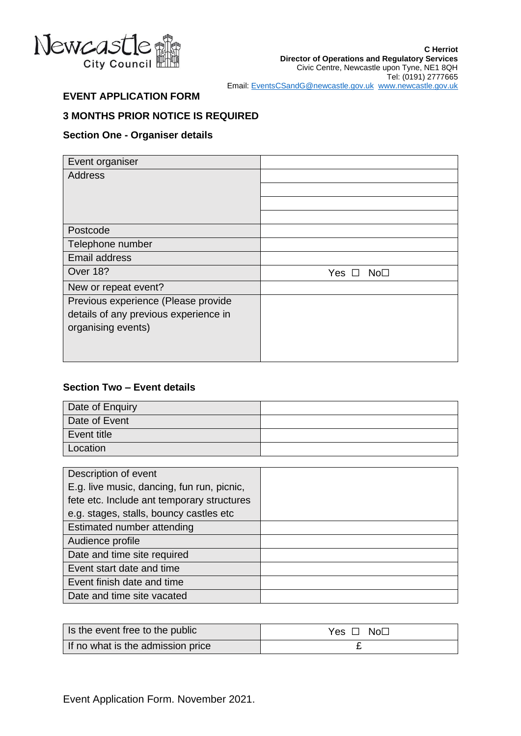

# **EVENT APPLICATION FORM**

# **3 MONTHS PRIOR NOTICE IS REQUIRED**

#### **Section One - Organiser details**

| Event organiser                       |                        |
|---------------------------------------|------------------------|
| <b>Address</b>                        |                        |
|                                       |                        |
|                                       |                        |
|                                       |                        |
| Postcode                              |                        |
| Telephone number                      |                        |
| <b>Email address</b>                  |                        |
| Over 18?                              | Yes<br>No <sub>1</sub> |
| New or repeat event?                  |                        |
| Previous experience (Please provide   |                        |
| details of any previous experience in |                        |
| organising events)                    |                        |
|                                       |                        |
|                                       |                        |

#### **Section Two – Event details**

| Date of Enquiry |  |
|-----------------|--|
| Date of Event   |  |
| Event title     |  |
| Location        |  |

| Description of event                       |  |
|--------------------------------------------|--|
| E.g. live music, dancing, fun run, picnic, |  |
| fete etc. Include ant temporary structures |  |
| e.g. stages, stalls, bouncy castles etc    |  |
| Estimated number attending                 |  |
| Audience profile                           |  |
| Date and time site required                |  |
| Event start date and time                  |  |
| Event finish date and time                 |  |
| Date and time site vacated                 |  |

| Is the event free to the public   | $Yes \Box No \Box$ |
|-----------------------------------|--------------------|
| If no what is the admission price |                    |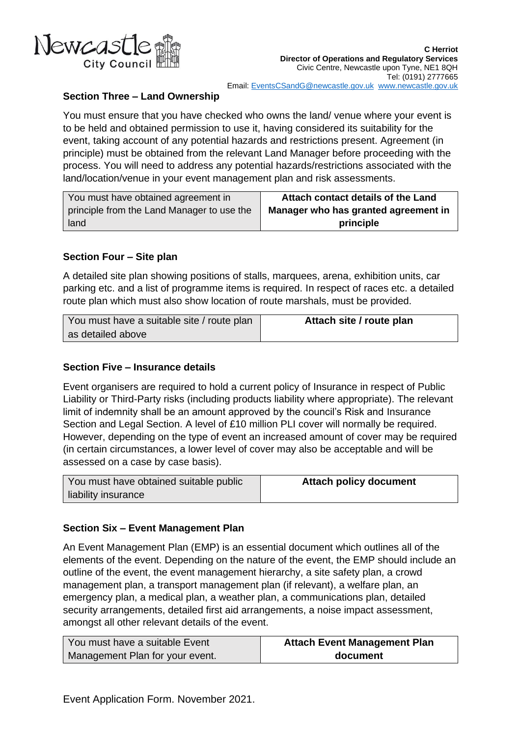

# **Section Three – Land Ownership**

You must ensure that you have checked who owns the land/ venue where your event is to be held and obtained permission to use it, having considered its suitability for the event, taking account of any potential hazards and restrictions present. Agreement (in principle) must be obtained from the relevant Land Manager before proceeding with the process. You will need to address any potential hazards/restrictions associated with the land/location/venue in your event management plan and risk assessments.

| You must have obtained agreement in        | Attach contact details of the Land   |
|--------------------------------------------|--------------------------------------|
| principle from the Land Manager to use the | Manager who has granted agreement in |
| land                                       | principle                            |

## **Section Four – Site plan**

A detailed site plan showing positions of stalls, marquees, arena, exhibition units, car parking etc. and a list of programme items is required. In respect of races etc. a detailed route plan which must also show location of route marshals, must be provided.

| You must have a suitable site / route plan | Attach site / route plan |
|--------------------------------------------|--------------------------|
| as detailed above                          |                          |

# **Section Five – Insurance details**

Event organisers are required to hold a current policy of Insurance in respect of Public Liability or Third-Party risks (including products liability where appropriate). The relevant limit of indemnity shall be an amount approved by the council's Risk and Insurance Section and Legal Section. A level of £10 million PLI cover will normally be required. However, depending on the type of event an increased amount of cover may be required (in certain circumstances, a lower level of cover may also be acceptable and will be assessed on a case by case basis).

| You must have obtained suitable public | <b>Attach policy document</b> |
|----------------------------------------|-------------------------------|
| liability insurance                    |                               |

## **Section Six – Event Management Plan**

An Event Management Plan (EMP) is an essential document which outlines all of the elements of the event. Depending on the nature of the event, the EMP should include an outline of the event, the event management hierarchy, a site safety plan, a crowd management plan, a transport management plan (if relevant), a welfare plan, an emergency plan, a medical plan, a weather plan, a communications plan, detailed security arrangements, detailed first aid arrangements, a noise impact assessment, amongst all other relevant details of the event.

| You must have a suitable Event  | <b>Attach Event Management Plan</b> |
|---------------------------------|-------------------------------------|
| Management Plan for your event. | document                            |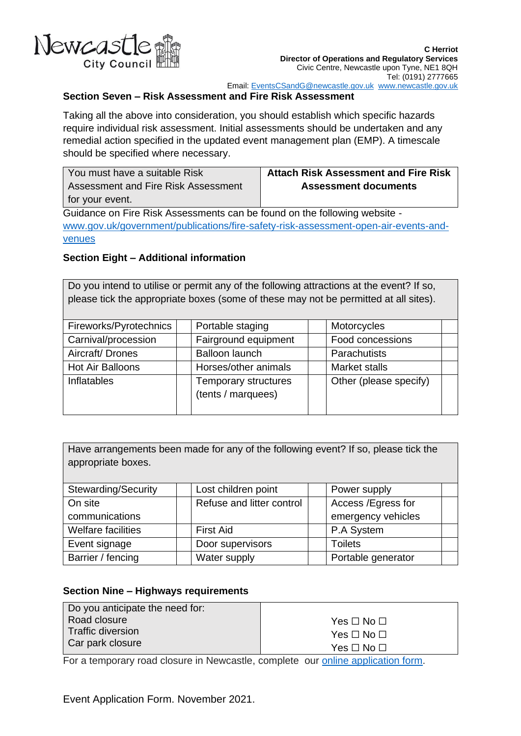

# **Section Seven – Risk Assessment and Fire Risk Assessment**

Taking all the above into consideration, you should establish which specific hazards require individual risk assessment. Initial assessments should be undertaken and any remedial action specified in the updated event management plan (EMP). A timescale should be specified where necessary.

| You must have a suitable Risk       | <b>Attach Risk Assessment and Fire Risk</b> |
|-------------------------------------|---------------------------------------------|
| Assessment and Fire Risk Assessment | <b>Assessment documents</b>                 |
| for your event.                     |                                             |

Guidance on Fire Risk Assessments can be found on the following website [www.gov.uk/government/publications/fire-safety-risk-assessment-open-air-events-and](file://///eec/phep/Events/A%20Review/Nicole%20-%20documents/www.gov.uk/government/publications/fire-safety-risk-assessment-open-air-events-and-venues)[venues](file://///eec/phep/Events/A%20Review/Nicole%20-%20documents/www.gov.uk/government/publications/fire-safety-risk-assessment-open-air-events-and-venues)

## **Section Eight – Additional information**

Do you intend to utilise or permit any of the following attractions at the event? If so, please tick the appropriate boxes (some of these may not be permitted at all sites).

| Fireworks/Pyrotechnics  | Portable staging                                  | Motorcycles            |
|-------------------------|---------------------------------------------------|------------------------|
| Carnival/procession     | Fairground equipment                              | Food concessions       |
| Aircraft/Drones         | <b>Balloon launch</b>                             | Parachutists           |
| <b>Hot Air Balloons</b> | Horses/other animals                              | Market stalls          |
| <b>Inflatables</b>      | <b>Temporary structures</b><br>(tents / marquees) | Other (please specify) |

Have arrangements been made for any of the following event? If so, please tick the appropriate boxes.

| <b>Stewarding/Security</b> | Lost children point       | Power supply       |  |
|----------------------------|---------------------------|--------------------|--|
| On site                    | Refuse and litter control | Access /Egress for |  |
| communications             |                           | emergency vehicles |  |
| Welfare facilities         | <b>First Aid</b>          | P.A System         |  |
| Event signage              | Door supervisors          | <b>Toilets</b>     |  |
| Barrier / fencing          | Water supply              | Portable generator |  |

#### **Section Nine – Highways requirements**

| Do you anticipate the need for: |                            |
|---------------------------------|----------------------------|
| Road closure                    | Yes $\square$ No $\square$ |
| Traffic diversion               | $Yes \Box No \Box$         |
| Car park closure                | Yes $\square$ No $\square$ |

For a temporary road closure in Newcastle, complete our [online application form.](https://newcastlecc-self.achieveservice.com/en/AchieveForms/?form_uri=sandbox-publish://AF-Process-5906c3ed-3b8a-47a5-b176-80b94129e02f/AF-Stage-46e91736-602d-4033-9705-3b61676cc85d/definition.json&redirectlink=%2Fen&cancelRedirectLink=%2Fen&consentMessage=yes)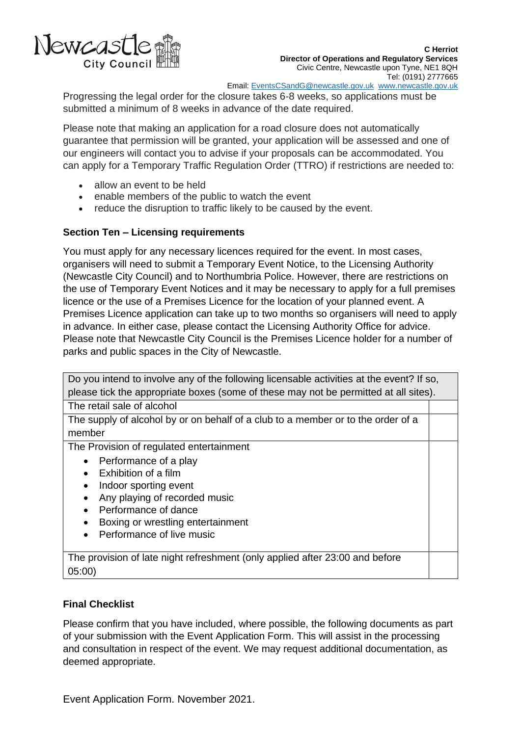

Email: [EventsCSandG@newcastle.gov.uk](mailto:EventsCSandG@newcastle.gov.uk) [www.newcastle.gov.uk](http://www.newcastle.gov.uk/)

Progressing the legal order for the closure takes 6-8 weeks, so applications must be submitted a minimum of 8 weeks in advance of the date required.

Please note that making an application for a road closure does not automatically guarantee that permission will be granted, your application will be assessed and one of our engineers will contact you to advise if your proposals can be accommodated. You can apply for a Temporary Traffic Regulation Order (TTRO) if restrictions are needed to:

- allow an event to be held
- enable members of the public to watch the event
- reduce the disruption to traffic likely to be caused by the event.

#### **Section Ten – Licensing requirements**

You must apply for any necessary licences required for the event. In most cases, organisers will need to submit a Temporary Event Notice, to the Licensing Authority (Newcastle City Council) and to Northumbria Police. However, there are restrictions on the use of Temporary Event Notices and it may be necessary to apply for a full premises licence or the use of a Premises Licence for the location of your planned event. A Premises Licence application can take up to two months so organisers will need to apply in advance. In either case, please contact the Licensing Authority Office for advice. Please note that Newcastle City Council is the Premises Licence holder for a number of parks and public spaces in the City of Newcastle.

| Do you intend to involve any of the following licensable activities at the event? If so, |  |  |
|------------------------------------------------------------------------------------------|--|--|
| please tick the appropriate boxes (some of these may not be permitted at all sites).     |  |  |
| The retail sale of alcohol                                                               |  |  |
| The supply of alcohol by or on behalf of a club to a member or to the order of a         |  |  |
| member                                                                                   |  |  |
| The Provision of regulated entertainment                                                 |  |  |
| Performance of a play                                                                    |  |  |
| Exhibition of a film                                                                     |  |  |
| Indoor sporting event<br>٠                                                               |  |  |
| Any playing of recorded music                                                            |  |  |
| Performance of dance                                                                     |  |  |
| Boxing or wrestling entertainment                                                        |  |  |
| Performance of live music                                                                |  |  |
|                                                                                          |  |  |
| The provision of late night refreshment (only applied after 23:00 and before             |  |  |
| 05:00                                                                                    |  |  |

## **Final Checklist**

Please confirm that you have included, where possible, the following documents as part of your submission with the Event Application Form. This will assist in the processing and consultation in respect of the event. We may request additional documentation, as deemed appropriate.

Event Application Form. November 2021.